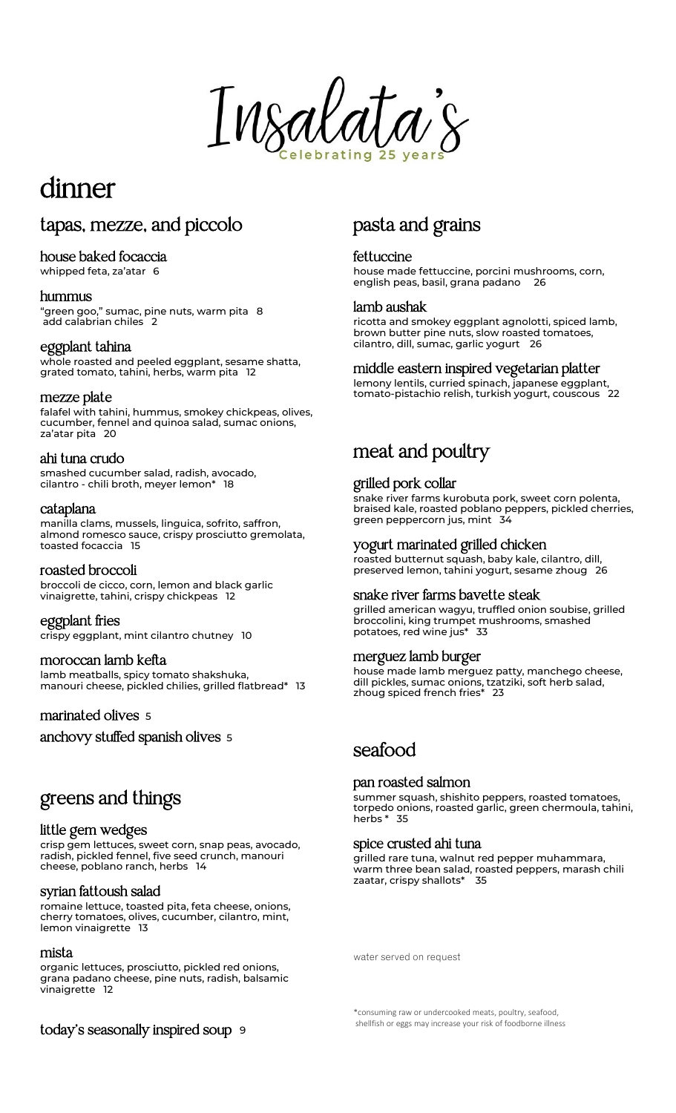$\overline{a}$ Insalata's

# dinner

# tapas, mezze, and piccolo

### house baked focaccia

whipped feta, za'atar 6

### hummus

"green goo," sumac, pine nuts, warm pita 8 add calabrian chiles 2

### eggplant tahina

whole roasted and peeled eggplant, sesame shatta, grated tomato, tahini, herbs, warm pita 12

### mezze plate

falafel with tahini, hummus, smokey chickpeas, olives, cucumber, fennel and quinoa salad, sumac onions, za'atar pita 20

#### ahi tuna crudo

smashed cucumber salad, radish, avocado, cilantro - chili broth, meyer lemon\* 18

#### cataplana

manilla clams, mussels, linguica, sofrito, saffron, almond romesco sauce, crispy prosciutto gremolata, toasted focaccia 15

### roasted broccoli

broccoli de cicco, corn, lemon and black garlic vinaigrette, tahini, crispy chickpeas 12

eggplant fries crispy eggplant, mint cilantro chutney 10

### moroccan lamb kefta

lamb meatballs, spicy tomato shakshuka, manouri cheese, pickled chilies, grilled flatbread\* 13

### marinated olives <sup>5</sup>

anchovy stuffed spanish olives <sup>5</sup>

# greens and things

### little gem wedges

crisp gem lettuces, sweet corn, snap peas, avocado, radish, pickled fennel, five seed crunch, manouri cheese, poblano ranch, herbs 14

### syrian fattoush salad

romaine lettuce, toasted pita, feta cheese, onions, cherry tomatoes, olives, cucumber, cilantro, mint, lemon vinaigrette 13

#### mista

organic lettuces, prosciutto, pickled red onions, grana padano cheese, pine nuts, radish, balsamic vinaigrette 12

pasta and grains

### fettuccine

house made fettuccine, porcini mushrooms, corn, english peas, basil, grana padano 26

### lamb aushak

ricotta and smokey eggplant agnolotti, spiced lamb, brown butter pine nuts, slow roasted tomatoes, cilantro, dill, sumac, garlic yogurt <sup>26</sup>

### middle eastern inspired vegetarian platter

lemony lentils, curried spinach, japanese eggplant, tomato-pistachio relish, turkish yogurt, couscous 22

# meat and poultry

### grilled pork collar

snake river farms kurobuta pork, sweet corn polenta, braised kale, roasted poblano peppers, pickled cherries, green peppercorn jus, mint 34

### yogurt marinated grilled chicken

roasted butternut squash, baby kale, cilantro, dill, preserved lemon, tahini yogurt, sesame zhoug 26

### snake river farms bavette steak

grilled american wagyu, truffled onion soubise, grilled broccolini, king trumpet mushrooms, smashed potatoes, red wine jus\* 33

### merguez lamb burger

house made lamb merguez patty, manchego cheese, dill pickles, sumac onions, tzatziki, soft herb salad, zhoug spiced french fries\* 23

# seafood

### pan roasted salmon

summer squash, shishito peppers, roasted tomatoes, torpedo onions, roasted garlic, green chermoula, tahini, herbs \* 35

### spice crusted ahi tuna

grilled rare tuna, walnut red pepper muhammara, warm three bean salad, roasted peppers, marash chili zaatar, crispy shallots\* 35

water served on request

\*consuming raw or undercooked meats, poultry, seafood, shellfish or eggs may increase your risk of foodborne illness

today's seasonally inspired soup <sup>9</sup>